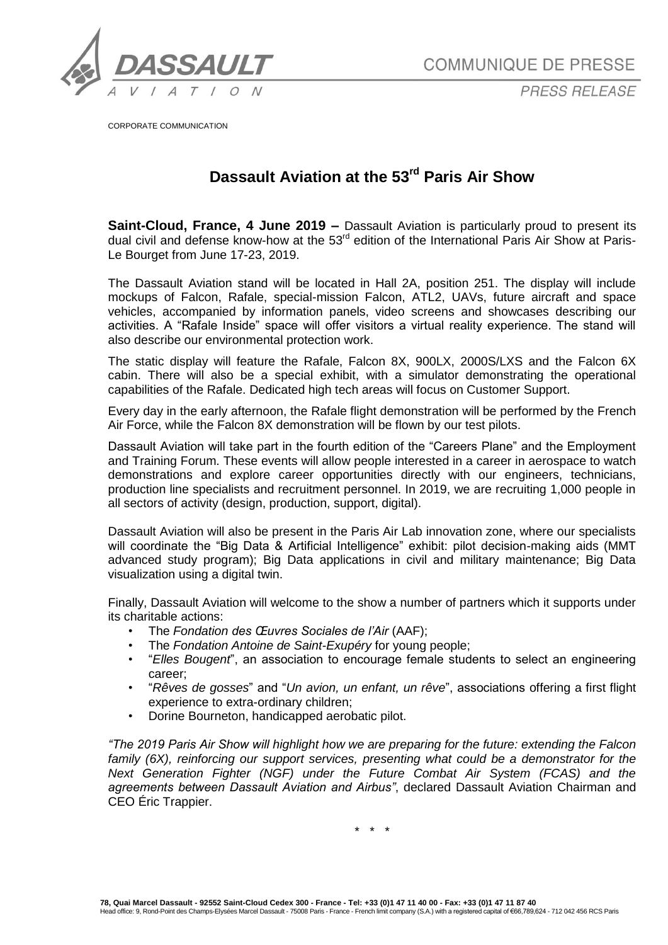

**COMMUNIQUE DE PRESSE** 

PRESS RELEASE

CORPORATE COMMUNICATION

## **Dassault Aviation at the 53rd Paris Air Show**

**Saint-Cloud, France, 4 June 2019 –** Dassault Aviation is particularly proud to present its dual civil and defense know-how at the 53<sup>rd</sup> edition of the International Paris Air Show at Paris-Le Bourget from June 17-23, 2019.

The Dassault Aviation stand will be located in Hall 2A, position 251. The display will include mockups of Falcon, Rafale, special-mission Falcon, ATL2, UAVs, future aircraft and space vehicles, accompanied by information panels, video screens and showcases describing our activities. A "Rafale Inside" space will offer visitors a virtual reality experience. The stand will also describe our environmental protection work.

The static display will feature the Rafale, Falcon 8X, 900LX, 2000S/LXS and the Falcon 6X cabin. There will also be a special exhibit, with a simulator demonstrating the operational capabilities of the Rafale. Dedicated high tech areas will focus on Customer Support.

Every day in the early afternoon, the Rafale flight demonstration will be performed by the French Air Force, while the Falcon 8X demonstration will be flown by our test pilots.

Dassault Aviation will take part in the fourth edition of the "Careers Plane" and the Employment and Training Forum. These events will allow people interested in a career in aerospace to watch demonstrations and explore career opportunities directly with our engineers, technicians, production line specialists and recruitment personnel. In 2019, we are recruiting 1,000 people in all sectors of activity (design, production, support, digital).

Dassault Aviation will also be present in the Paris Air Lab innovation zone, where our specialists will coordinate the "Big Data & Artificial Intelligence" exhibit: pilot decision-making aids (MMT advanced study program); Big Data applications in civil and military maintenance; Big Data visualization using a digital twin.

Finally, Dassault Aviation will welcome to the show a number of partners which it supports under its charitable actions:

- The *Fondation des Œuvres Sociales de l'Air* (AAF);
- The *Fondation Antoine de Saint-Exupéry* for young people;
- "*Elles Bougent*", an association to encourage female students to select an engineering career;
- "*Rêves de gosses*" and "*Un avion, un enfant, un rêve*", associations offering a first flight experience to extra-ordinary children;
- Dorine Bourneton, handicapped aerobatic pilot.

*"The 2019 Paris Air Show will highlight how we are preparing for the future: extending the Falcon family (6X), reinforcing our support services, presenting what could be a demonstrator for the Next Generation Fighter (NGF) under the Future Combat Air System (FCAS) and the agreements between Dassault Aviation and Airbus"*, declared Dassault Aviation Chairman and CEO Éric Trappier.

\* \* \*